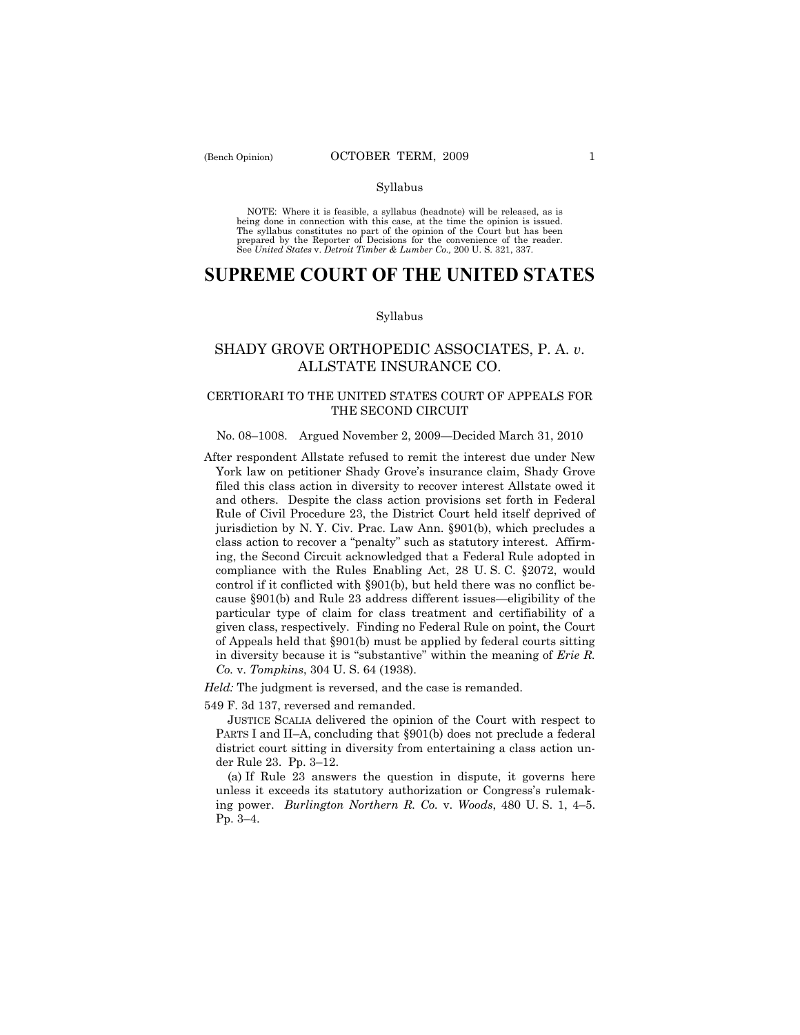#### Syllabus

NOTE: Where it is feasible, a syllabus (headnote) will be released, as is being done in connection with this case, at the time the opinion is issued. The syllabus constitutes no part of the opinion of the Court but has been<br>prepared by the Reporter of Decisions for the convenience of the reader.<br>See United States v. Detroit Timber & Lumber Co., 200 U. S. 321, 337.

# **SUPREME COURT OF THE UNITED STATES**

#### Syllabus

## SHADY GROVE ORTHOPEDIC ASSOCIATES, P. A. *v*. ALLSTATE INSURANCE CO.

## CERTIORARI TO THE UNITED STATES COURT OF APPEALS FOR THE SECOND CIRCUIT

### No. 08–1008. Argued November 2, 2009—Decided March 31, 2010

After respondent Allstate refused to remit the interest due under New York law on petitioner Shady Grove's insurance claim, Shady Grove filed this class action in diversity to recover interest Allstate owed it and others. Despite the class action provisions set forth in Federal Rule of Civil Procedure 23, the District Court held itself deprived of jurisdiction by N. Y. Civ. Prac. Law Ann. §901(b), which precludes a class action to recover a "penalty" such as statutory interest. Affirming, the Second Circuit acknowledged that a Federal Rule adopted in compliance with the Rules Enabling Act, 28 U. S. C. §2072, would control if it conflicted with §901(b), but held there was no conflict because §901(b) and Rule 23 address different issues—eligibility of the particular type of claim for class treatment and certifiability of a given class, respectively. Finding no Federal Rule on point, the Court of Appeals held that §901(b) must be applied by federal courts sitting in diversity because it is "substantive" within the meaning of *Erie R. Co.* v. *Tompkins*, 304 U. S. 64 (1938).

*Held:* The judgment is reversed, and the case is remanded.

549 F. 3d 137, reversed and remanded.

 JUSTICE SCALIA delivered the opinion of the Court with respect to PARTS I and II–A, concluding that §901(b) does not preclude a federal district court sitting in diversity from entertaining a class action under Rule 23. Pp. 3–12.

 (a) If Rule 23 answers the question in dispute, it governs here unless it exceeds its statutory authorization or Congress's rulemaking power. *Burlington Northern R. Co.* v. *Woods*, 480 U. S. 1, 4–5. Pp. 3–4.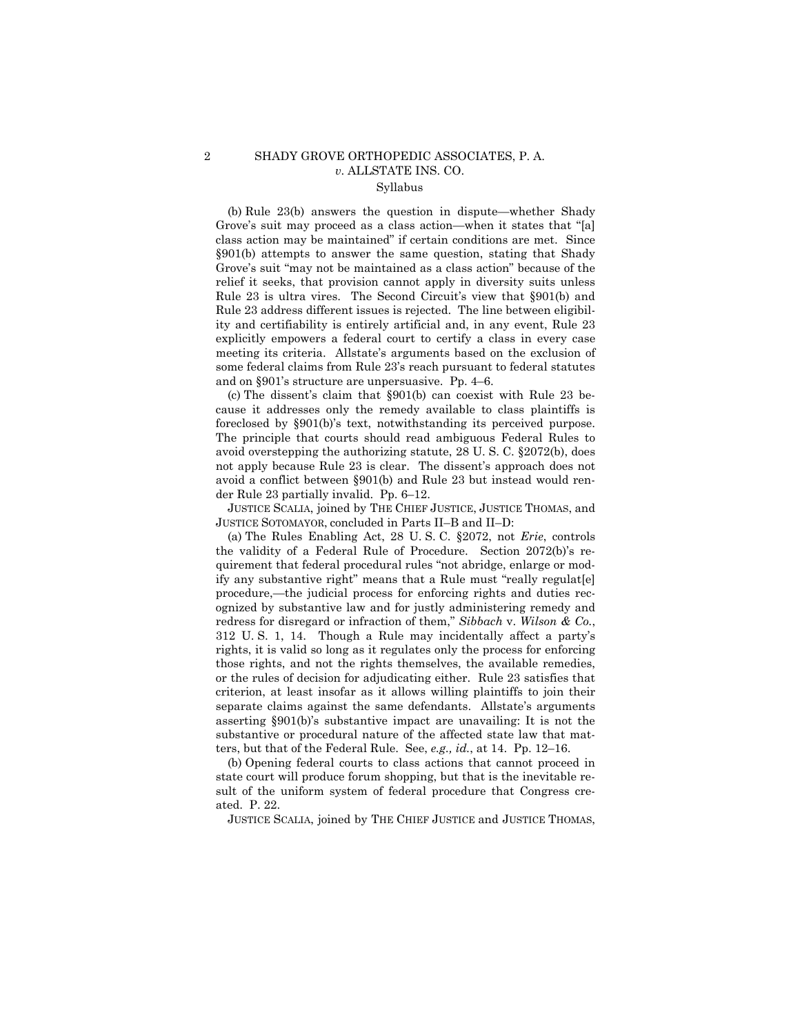## 2 SHADY GROVE ORTHOPEDIC ASSOCIATES, P. A. *v*. ALLSTATE INS. CO. Syllabus

## (b) Rule 23(b) answers the question in dispute—whether Shady Grove's suit may proceed as a class action—when it states that "[a] class action may be maintained" if certain conditions are met. Since §901(b) attempts to answer the same question, stating that Shady Grove's suit "may not be maintained as a class action" because of the relief it seeks, that provision cannot apply in diversity suits unless Rule 23 is ultra vires. The Second Circuit's view that §901(b) and Rule 23 address different issues is rejected. The line between eligibility and certifiability is entirely artificial and, in any event, Rule 23 explicitly empowers a federal court to certify a class in every case meeting its criteria. Allstate's arguments based on the exclusion of some federal claims from Rule 23's reach pursuant to federal statutes and on §901's structure are unpersuasive. Pp. 4–6.

 (c) The dissent's claim that §901(b) can coexist with Rule 23 because it addresses only the remedy available to class plaintiffs is foreclosed by §901(b)'s text, notwithstanding its perceived purpose. The principle that courts should read ambiguous Federal Rules to avoid overstepping the authorizing statute, 28 U. S. C. §2072(b), does not apply because Rule 23 is clear. The dissent's approach does not avoid a conflict between §901(b) and Rule 23 but instead would render Rule 23 partially invalid. Pp. 6–12.

 JUSTICE SCALIA, joined by THE CHIEF JUSTICE, JUSTICE THOMAS, and JUSTICE SOTOMAYOR, concluded in Parts II–B and II–D:

 (a) The Rules Enabling Act, 28 U. S. C. §2072, not *Erie*, controls the validity of a Federal Rule of Procedure. Section 2072(b)'s requirement that federal procedural rules "not abridge, enlarge or modify any substantive right" means that a Rule must "really regulat[e] procedure,—the judicial process for enforcing rights and duties recognized by substantive law and for justly administering remedy and redress for disregard or infraction of them," *Sibbach* v. *Wilson & Co.*, 312 U. S. 1, 14. Though a Rule may incidentally affect a party's rights, it is valid so long as it regulates only the process for enforcing those rights, and not the rights themselves, the available remedies, or the rules of decision for adjudicating either. Rule 23 satisfies that criterion, at least insofar as it allows willing plaintiffs to join their separate claims against the same defendants. Allstate's arguments asserting §901(b)'s substantive impact are unavailing: It is not the substantive or procedural nature of the affected state law that matters, but that of the Federal Rule. See, *e.g., id.*, at 14. Pp. 12–16.

 (b) Opening federal courts to class actions that cannot proceed in state court will produce forum shopping, but that is the inevitable result of the uniform system of federal procedure that Congress created. P. 22.

JUSTICE SCALIA, joined by THE CHIEF JUSTICE and JUSTICE THOMAS,